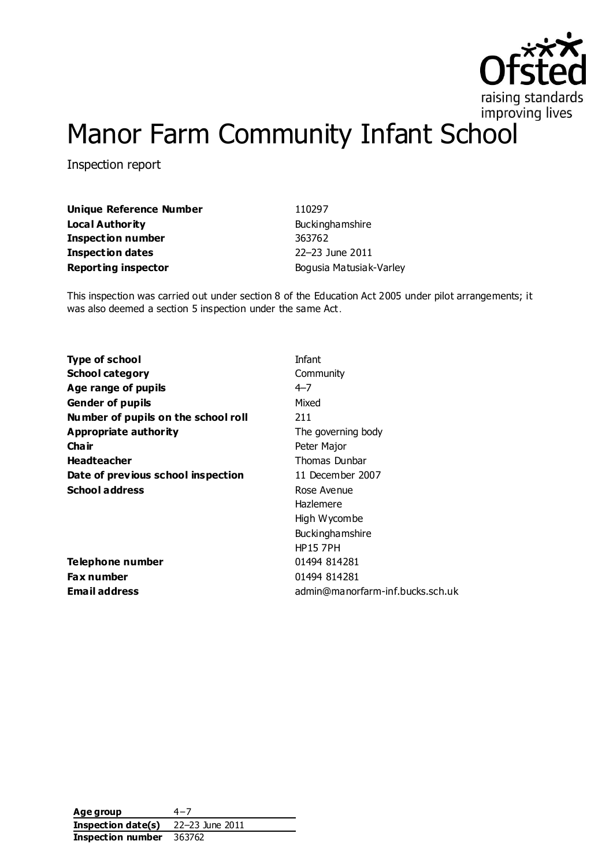

# Manor Farm Community Infant School

Inspection report

**Unique Reference Number** 110297 **Local Authority Buckinghamshire Inspection number** 363762 **Inspection dates** 22–23 June 2011 **Reporting inspector Bogusia Matusiak-Varley** 

This inspection was carried out under section 8 of the Education Act 2005 under pilot arrangements; it was also deemed a section 5 inspection under the same Act.

**Type of school** and **Infant School category** Community **Age range of pupils**  $4-7$ **Gender of pupils** Mixed **Number of pupils on the school roll** 211 **Appropriate authority** The governing body **Chair** Peter Major **Headteacher** Thomas Dunbar **Date of previous school inspection** 11 December 2007 School address Rose Avenue

**Telephone number** 01494 814281 **Fax number** 01494 814281

Hazlemere High Wycombe Buckinghamshire HP15 7PH **Email address** admin@manorfarm-inf.bucks.sch.uk

**Age group** 4−7 **Inspection date(s)** 22–23 June 2011 **Inspection number** 363762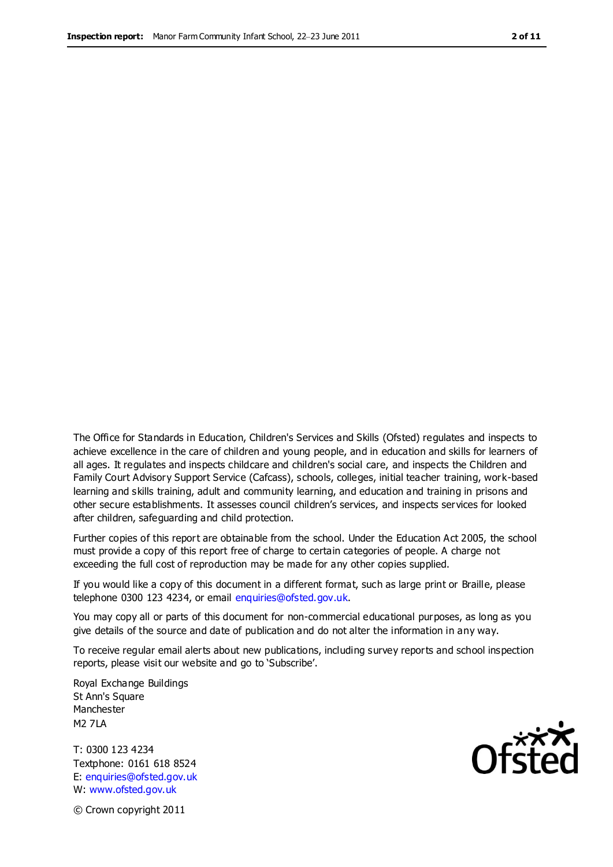The Office for Standards in Education, Children's Services and Skills (Ofsted) regulates and inspects to achieve excellence in the care of children and young people, and in education and skills for learners of all ages. It regulates and inspects childcare and children's social care, and inspects the Children and Family Court Advisory Support Service (Cafcass), schools, colleges, initial teacher training, work-based learning and skills training, adult and community learning, and education and training in prisons and other secure establishments. It assesses council children's services, and inspects services for looked after children, safeguarding and child protection.

Further copies of this report are obtainable from the school. Under the Education Act 2005, the school must provide a copy of this report free of charge to certain categories of people. A charge not exceeding the full cost of reproduction may be made for any other copies supplied.

If you would like a copy of this document in a different format, such as large print or Braille, please telephone 0300 123 4234, or email enquiries@ofsted.gov.uk.

You may copy all or parts of this document for non-commercial educational purposes, as long as you give details of the source and date of publication and do not alter the information in any way.

To receive regular email alerts about new publications, including survey reports and school inspection reports, please visit our website and go to 'Subscribe'.

Royal Exchange Buildings St Ann's Square Manchester M2 7LA

T: 0300 123 4234 Textphone: 0161 618 8524 E: enquiries@ofsted.gov.uk W: www.ofsted.gov.uk

Ofsted

© Crown copyright 2011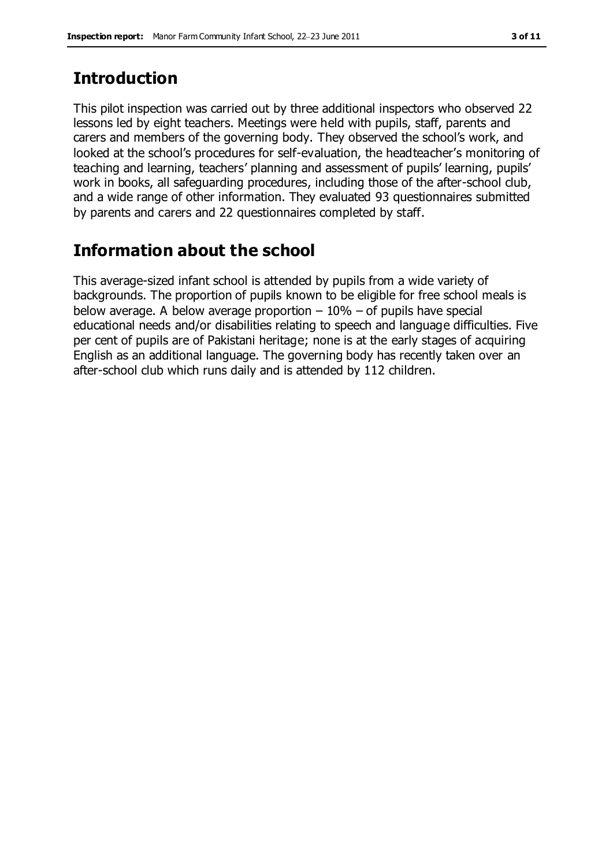# **Introduction**

This pilot inspection was carried out by three additional inspectors who observed 22 lessons led by eight teachers. Meetings were held with pupils, staff, parents and carers and members of the governing body. They observed the school's work, and looked at the school's procedures for self-evaluation, the headteacher's monitoring of teaching and learning, teachers' planning and assessment of pupils' learning, pupils' work in books, all safeguarding procedures, including those of the after-school club, and a wide range of other information. They evaluated 93 questionnaires submitted by parents and carers and 22 questionnaires completed by staff.

# **Information about the school**

This average-sized infant school is attended by pupils from a wide variety of backgrounds. The proportion of pupils known to be eligible for free school meals is below average. A below average proportion  $-10\%$  – of pupils have special educational needs and/or disabilities relating to speech and language difficulties. Five per cent of pupils are of Pakistani heritage; none is at the early stages of acquiring English as an additional language. The governing body has recently taken over an after-school club which runs daily and is attended by 112 children.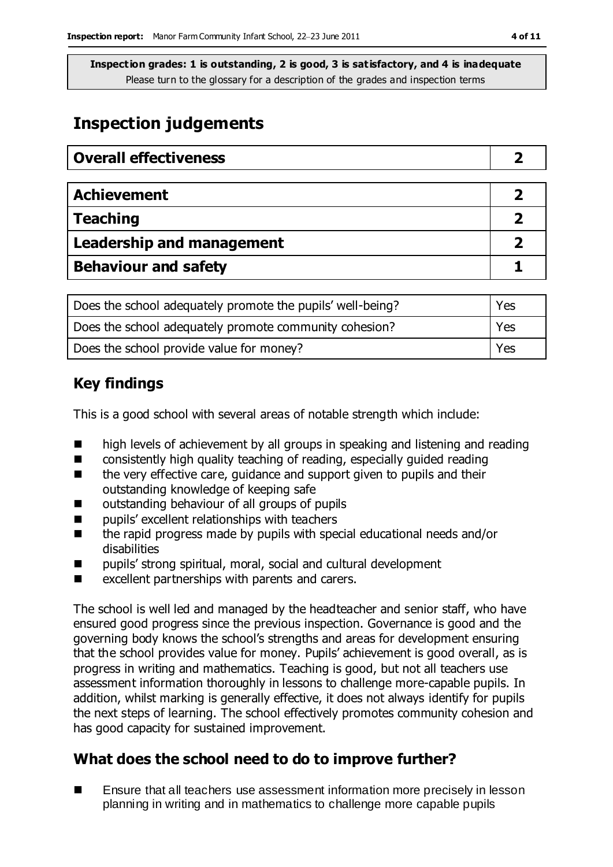**Inspection grades: 1 is outstanding, 2 is good, 3 is satisfactory, and 4 is inadequate** Please turn to the glossary for a description of the grades and inspection terms

# **Inspection judgements**

| <b>Overall effectiveness</b>     |  |
|----------------------------------|--|
|                                  |  |
| <b>Achievement</b>               |  |
| <b>Teaching</b>                  |  |
| <b>Leadership and management</b> |  |
| <b>Behaviour and safety</b>      |  |

| Does the school adequately promote the pupils' well-being? | Yes        |
|------------------------------------------------------------|------------|
| Does the school adequately promote community cohesion?     | i Yes      |
| Does the school provide value for money?                   | <b>Yes</b> |

### **Key findings**

This is a good school with several areas of notable strength which include:

- high levels of achievement by all groups in speaking and listening and reading
- consistently high quality teaching of reading, especially guided reading
- $\blacksquare$  the very effective care, guidance and support given to pupils and their outstanding knowledge of keeping safe
- outstanding behaviour of all groups of pupils
- $\blacksquare$  pupils' excellent relationships with teachers
- the rapid progress made by pupils with special educational needs and/or disabilities
- pupils' strong spiritual, moral, social and cultural development
- excellent partnerships with parents and carers.

The school is well led and managed by the headteacher and senior staff, who have ensured good progress since the previous inspection. Governance is good and the governing body knows the school's strengths and areas for development ensuring that the school provides value for money. Pupils' achievement is good overall, as is progress in writing and mathematics. Teaching is good, but not all teachers use assessment information thoroughly in lessons to challenge more-capable pupils. In addition, whilst marking is generally effective, it does not always identify for pupils the next steps of learning. The school effectively promotes community cohesion and has good capacity for sustained improvement.

### **What does the school need to do to improve further?**

■ Ensure that all teachers use assessment information more precisely in lesson planning in writing and in mathematics to challenge more capable pupils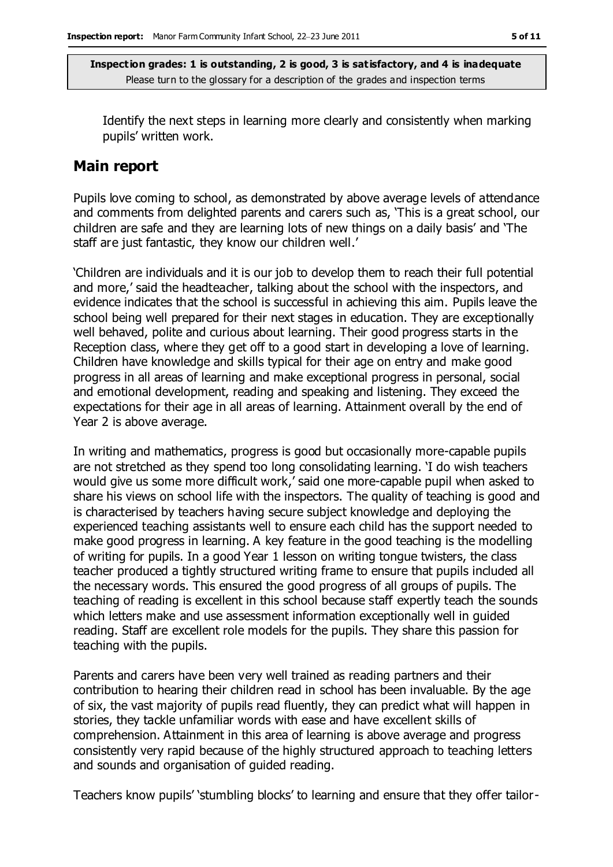**Inspection grades: 1 is outstanding, 2 is good, 3 is satisfactory, and 4 is inadequate** Please turn to the glossary for a description of the grades and inspection terms

Identify the next steps in learning more clearly and consistently when marking pupils' written work.

#### **Main report**

Pupils love coming to school, as demonstrated by above average levels of attendance and comments from delighted parents and carers such as, 'This is a great school, our children are safe and they are learning lots of new things on a daily basis' and 'The staff are just fantastic, they know our children well.'

'Children are individuals and it is our job to develop them to reach their full potential and more,' said the headteacher, talking about the school with the inspectors, and evidence indicates that the school is successful in achieving this aim. Pupils leave the school being well prepared for their next stages in education. They are exceptionally well behaved, polite and curious about learning. Their good progress starts in the Reception class, where they get off to a good start in developing a love of learning. Children have knowledge and skills typical for their age on entry and make good progress in all areas of learning and make exceptional progress in personal, social and emotional development, reading and speaking and listening. They exceed the expectations for their age in all areas of learning. Attainment overall by the end of Year 2 is above average.

In writing and mathematics, progress is good but occasionally more-capable pupils are not stretched as they spend too long consolidating learning. 'I do wish teachers would give us some more difficult work,' said one more-capable pupil when asked to share his views on school life with the inspectors. The quality of teaching is good and is characterised by teachers having secure subject knowledge and deploying the experienced teaching assistants well to ensure each child has the support needed to make good progress in learning. A key feature in the good teaching is the modelling of writing for pupils. In a good Year 1 lesson on writing tongue twisters, the class teacher produced a tightly structured writing frame to ensure that pupils included all the necessary words. This ensured the good progress of all groups of pupils. The teaching of reading is excellent in this school because staff expertly teach the sounds which letters make and use assessment information exceptionally well in guided reading. Staff are excellent role models for the pupils. They share this passion for teaching with the pupils.

Parents and carers have been very well trained as reading partners and their contribution to hearing their children read in school has been invaluable. By the age of six, the vast majority of pupils read fluently, they can predict what will happen in stories, they tackle unfamiliar words with ease and have excellent skills of comprehension. Attainment in this area of learning is above average and progress consistently very rapid because of the highly structured approach to teaching letters and sounds and organisation of guided reading.

Teachers know pupils' 'stumbling blocks' to learning and ensure that they offer tailor-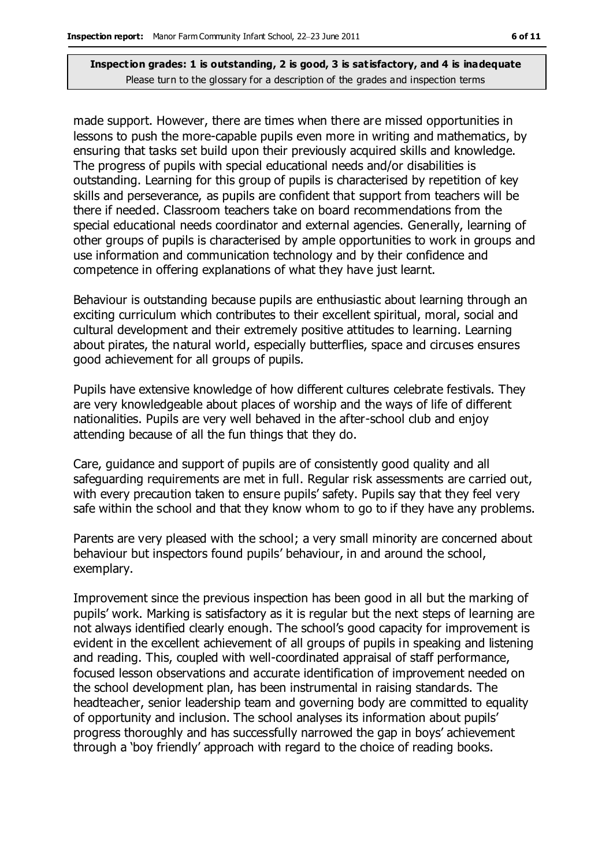#### **Inspection grades: 1 is outstanding, 2 is good, 3 is satisfactory, and 4 is inadequate** Please turn to the glossary for a description of the grades and inspection terms

made support. However, there are times when there are missed opportunities in lessons to push the more-capable pupils even more in writing and mathematics, by ensuring that tasks set build upon their previously acquired skills and knowledge. The progress of pupils with special educational needs and/or disabilities is outstanding. Learning for this group of pupils is characterised by repetition of key skills and perseverance, as pupils are confident that support from teachers will be there if needed. Classroom teachers take on board recommendations from the special educational needs coordinator and external agencies. Generally, learning of other groups of pupils is characterised by ample opportunities to work in groups and use information and communication technology and by their confidence and competence in offering explanations of what they have just learnt.

Behaviour is outstanding because pupils are enthusiastic about learning through an exciting curriculum which contributes to their excellent spiritual, moral, social and cultural development and their extremely positive attitudes to learning. Learning about pirates, the natural world, especially butterflies, space and circuses ensures good achievement for all groups of pupils.

Pupils have extensive knowledge of how different cultures celebrate festivals. They are very knowledgeable about places of worship and the ways of life of different nationalities. Pupils are very well behaved in the after-school club and enjoy attending because of all the fun things that they do.

Care, guidance and support of pupils are of consistently good quality and all safeguarding requirements are met in full. Regular risk assessments are carried out, with every precaution taken to ensure pupils' safety. Pupils say that they feel very safe within the school and that they know whom to go to if they have any problems.

Parents are very pleased with the school; a very small minority are concerned about behaviour but inspectors found pupils' behaviour, in and around the school, exemplary.

Improvement since the previous inspection has been good in all but the marking of pupils' work. Marking is satisfactory as it is regular but the next steps of learning are not always identified clearly enough. The school's good capacity for improvement is evident in the excellent achievement of all groups of pupils in speaking and listening and reading. This, coupled with well-coordinated appraisal of staff performance, focused lesson observations and accurate identification of improvement needed on the school development plan, has been instrumental in raising standards. The headteacher, senior leadership team and governing body are committed to equality of opportunity and inclusion. The school analyses its information about pupils' progress thoroughly and has successfully narrowed the gap in boys' achievement through a 'boy friendly' approach with regard to the choice of reading books.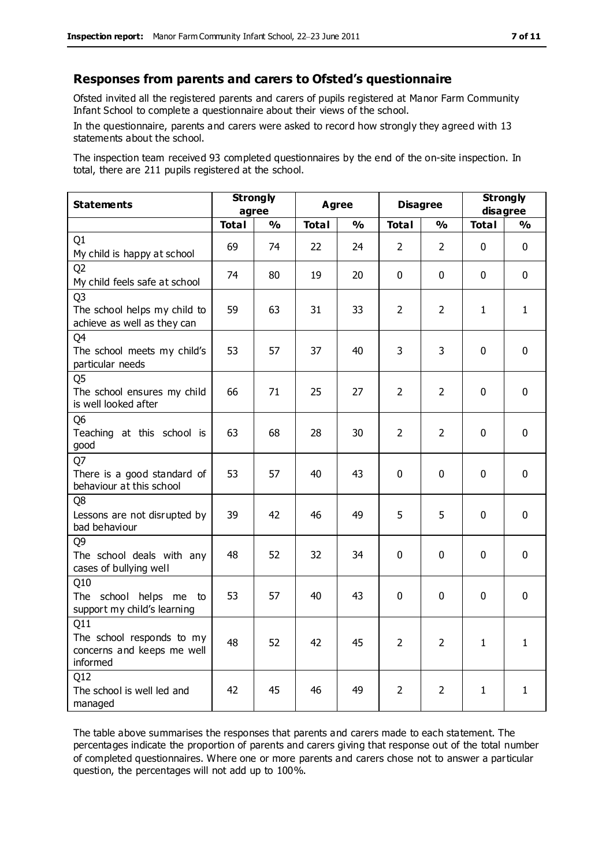#### **Responses from parents and carers to Ofsted's questionnaire**

Ofsted invited all the registered parents and carers of pupils registered at Manor Farm Community Infant School to complete a questionnaire about their views of the school.

In the questionnaire, parents and carers were asked to record how strongly they agreed with 13 statements about the school.

The inspection team received 93 completed questionnaires by the end of the on-site inspection. In total, there are 211 pupils registered at the school.

| <b>Statements</b>                                                             | <b>Strongly</b><br>agree |               | <b>Agree</b> |               | <b>Disagree</b> |                | <b>Strongly</b><br>disagree |               |
|-------------------------------------------------------------------------------|--------------------------|---------------|--------------|---------------|-----------------|----------------|-----------------------------|---------------|
|                                                                               | <b>Total</b>             | $\frac{1}{2}$ | <b>Total</b> | $\frac{1}{2}$ | <b>Total</b>    | $\frac{0}{0}$  | <b>Total</b>                | $\frac{1}{2}$ |
| Q1<br>My child is happy at school                                             | 69                       | 74            | 22           | 24            | $\overline{2}$  | $\overline{2}$ | $\mathbf 0$                 | $\mathbf 0$   |
| Q <sub>2</sub><br>My child feels safe at school                               | 74                       | 80            | 19           | 20            | 0               | 0              | $\mathbf{0}$                | $\mathbf 0$   |
| Q <sub>3</sub><br>The school helps my child to<br>achieve as well as they can | 59                       | 63            | 31           | 33            | $\overline{2}$  | $\overline{2}$ | 1                           | $\mathbf{1}$  |
| Q4<br>The school meets my child's<br>particular needs                         | 53                       | 57            | 37           | 40            | 3               | 3              | $\mathbf{0}$                | $\mathbf 0$   |
| Q <sub>5</sub><br>The school ensures my child<br>is well looked after         | 66                       | 71            | 25           | 27            | $\overline{2}$  | $\overline{2}$ | $\mathbf{0}$                | $\mathbf 0$   |
| Q <sub>6</sub><br>Teaching at this school is<br>good                          | 63                       | 68            | 28           | 30            | $\overline{2}$  | $\overline{2}$ | $\mathbf 0$                 | $\mathbf 0$   |
| Q7<br>There is a good standard of<br>behaviour at this school                 | 53                       | 57            | 40           | 43            | $\Omega$        | $\mathbf 0$    | $\Omega$                    | $\mathbf 0$   |
| Q8<br>Lessons are not disrupted by<br>bad behaviour                           | 39                       | 42            | 46           | 49            | 5               | 5              | $\mathbf 0$                 | $\mathbf 0$   |
| Q <sub>9</sub><br>The school deals with any<br>cases of bullying well         | 48                       | 52            | 32           | 34            | 0               | 0              | $\mathbf{0}$                | $\mathbf{0}$  |
| Q10<br>The school helps me to<br>support my child's learning                  | 53                       | 57            | 40           | 43            | 0               | $\mathbf 0$    | $\mathbf{0}$                | $\mathbf 0$   |
| Q11<br>The school responds to my<br>concerns and keeps me well<br>informed    | 48                       | 52            | 42           | 45            | $\overline{2}$  | $\overline{2}$ | $\mathbf{1}$                | $\mathbf{1}$  |
| Q12<br>The school is well led and<br>managed                                  | 42                       | 45            | 46           | 49            | $\overline{2}$  | $\overline{2}$ | $\mathbf{1}$                | $\mathbf{1}$  |

The table above summarises the responses that parents and carers made to each statement. The percentages indicate the proportion of parents and carers giving that response out of the total number of completed questionnaires. Where one or more parents and carers chose not to answer a particular question, the percentages will not add up to 100%.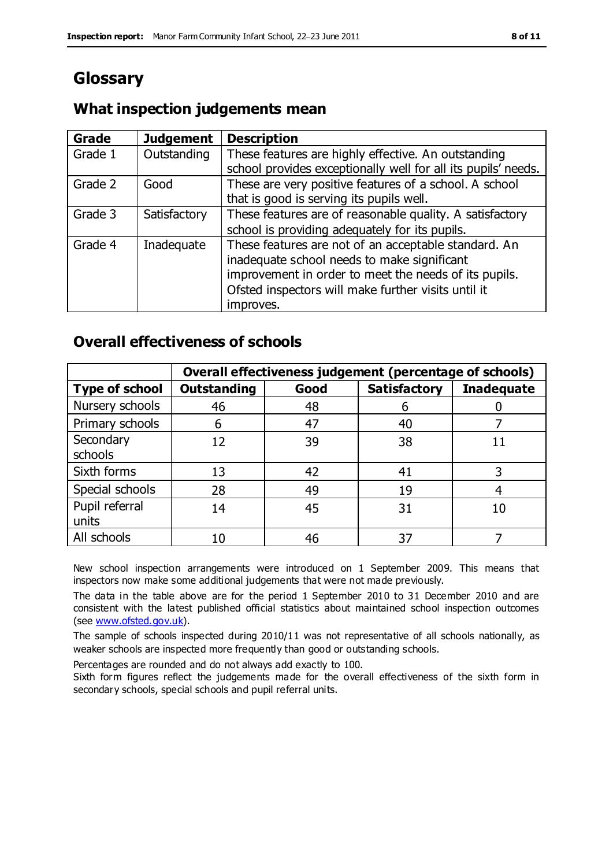# **Glossary**

### **What inspection judgements mean**

| Grade   | <b>Judgement</b> | <b>Description</b>                                                                                                                                                                                                               |
|---------|------------------|----------------------------------------------------------------------------------------------------------------------------------------------------------------------------------------------------------------------------------|
| Grade 1 | Outstanding      | These features are highly effective. An outstanding<br>school provides exceptionally well for all its pupils' needs.                                                                                                             |
| Grade 2 | Good             | These are very positive features of a school. A school<br>that is good is serving its pupils well.                                                                                                                               |
| Grade 3 | Satisfactory     | These features are of reasonable quality. A satisfactory<br>school is providing adequately for its pupils.                                                                                                                       |
| Grade 4 | Inadequate       | These features are not of an acceptable standard. An<br>inadequate school needs to make significant<br>improvement in order to meet the needs of its pupils.<br>Ofsted inspectors will make further visits until it<br>improves. |

### **Overall effectiveness of schools**

|                         | Overall effectiveness judgement (percentage of schools) |      |                     |                   |
|-------------------------|---------------------------------------------------------|------|---------------------|-------------------|
| <b>Type of school</b>   | <b>Outstanding</b>                                      | Good | <b>Satisfactory</b> | <b>Inadequate</b> |
| Nursery schools         | 46                                                      | 48   | 6                   |                   |
| Primary schools         | 6                                                       | 47   | 40                  |                   |
| Secondary<br>schools    | 12                                                      | 39   | 38                  |                   |
| Sixth forms             | 13                                                      | 42   | 41                  |                   |
| Special schools         | 28                                                      | 49   | 19                  |                   |
| Pupil referral<br>units | 14                                                      | 45   | 31                  | 10                |
| All schools             | 10                                                      | 46   | 37                  |                   |

New school inspection arrangements were introduced on 1 September 2009. This means that inspectors now make some additional judgements that were not made previously.

The data in the table above are for the period 1 September 2010 to 31 December 2010 and are consistent with the latest published official statistics about maintained school inspection outcomes (see [www.ofsted.gov.uk\)](http://www.ofsted.gov.uk/).

The sample of schools inspected during 2010/11 was not representative of all schools nationally, as weaker schools are inspected more frequently than good or outstanding schools.

Percentages are rounded and do not always add exactly to 100.

Sixth form figures reflect the judgements made for the overall effectiveness of the sixth form in secondary schools, special schools and pupil referral units.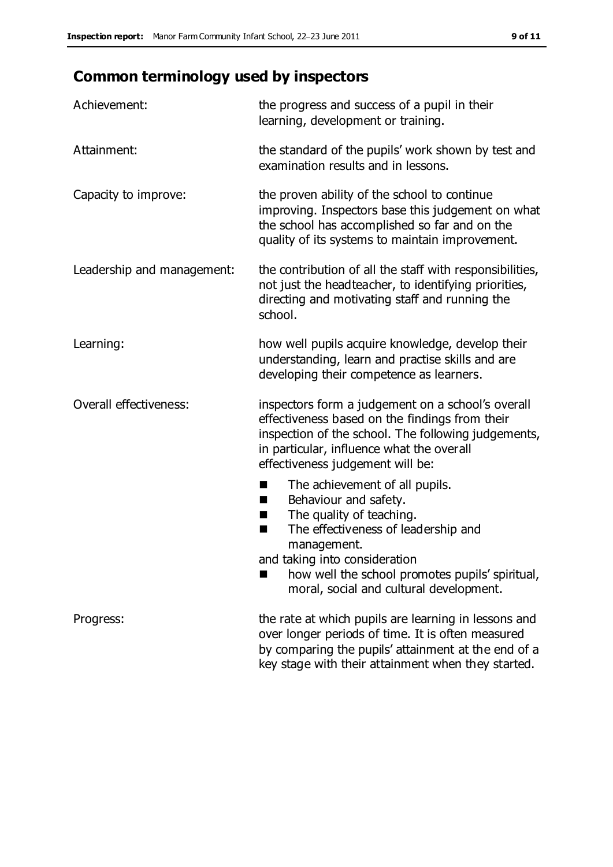# **Common terminology used by inspectors**

| Achievement:               | the progress and success of a pupil in their<br>learning, development or training.                                                                                                                                                          |
|----------------------------|---------------------------------------------------------------------------------------------------------------------------------------------------------------------------------------------------------------------------------------------|
| Attainment:                | the standard of the pupils' work shown by test and<br>examination results and in lessons.                                                                                                                                                   |
| Capacity to improve:       | the proven ability of the school to continue<br>improving. Inspectors base this judgement on what<br>the school has accomplished so far and on the<br>quality of its systems to maintain improvement.                                       |
| Leadership and management: | the contribution of all the staff with responsibilities,<br>not just the headteacher, to identifying priorities,<br>directing and motivating staff and running the<br>school.                                                               |
| Learning:                  | how well pupils acquire knowledge, develop their<br>understanding, learn and practise skills and are<br>developing their competence as learners.                                                                                            |
| Overall effectiveness:     | inspectors form a judgement on a school's overall<br>effectiveness based on the findings from their<br>inspection of the school. The following judgements,<br>in particular, influence what the overall<br>effectiveness judgement will be: |
|                            | The achievement of all pupils.<br>■<br>Behaviour and safety.<br>ш<br>The quality of teaching.<br>H<br>The effectiveness of leadership and<br>п<br>management.<br>and taking into consideration                                              |
|                            | how well the school promotes pupils' spiritual,<br>moral, social and cultural development.                                                                                                                                                  |
| Progress:                  | the rate at which pupils are learning in lessons and<br>over longer periods of time. It is often measured<br>by comparing the pupils' attainment at the end of a                                                                            |

key stage with their attainment when they started.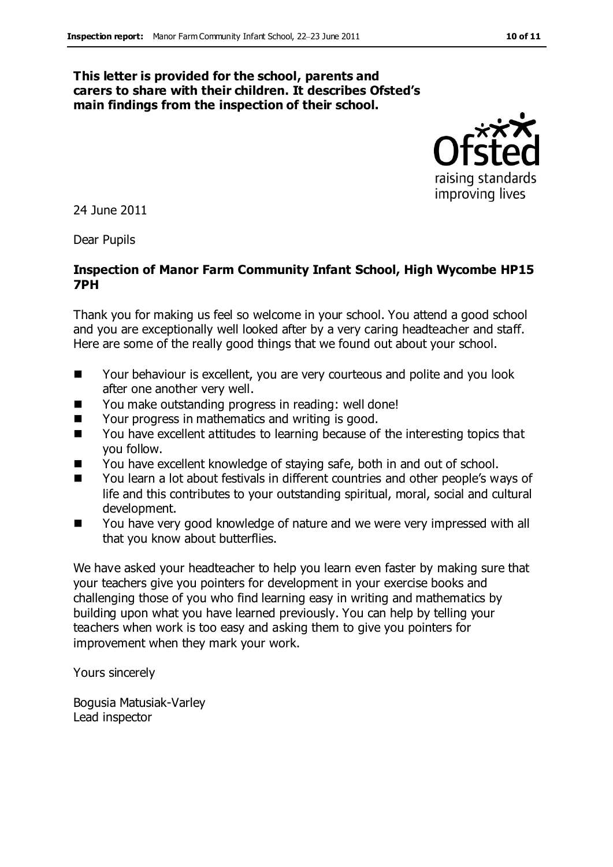#### **This letter is provided for the school, parents and carers to share with their children. It describes Ofsted's main findings from the inspection of their school.**



24 June 2011

Dear Pupils

#### **Inspection of Manor Farm Community Infant School, High Wycombe HP15 7PH**

Thank you for making us feel so welcome in your school. You attend a good school and you are exceptionally well looked after by a very caring headteacher and staff. Here are some of the really good things that we found out about your school.

- Your behaviour is excellent, you are very courteous and polite and you look after one another very well.
- You make outstanding progress in reading: well done!
- Your progress in mathematics and writing is good.
- You have excellent attitudes to learning because of the interesting topics that you follow.
- You have excellent knowledge of staying safe, both in and out of school.
- You learn a lot about festivals in different countries and other people's ways of life and this contributes to your outstanding spiritual, moral, social and cultural development.
- You have very good knowledge of nature and we were very impressed with all that you know about butterflies.

We have asked your headteacher to help you learn even faster by making sure that your teachers give you pointers for development in your exercise books and challenging those of you who find learning easy in writing and mathematics by building upon what you have learned previously. You can help by telling your teachers when work is too easy and asking them to give you pointers for improvement when they mark your work.

Yours sincerely

Bogusia Matusiak-Varley Lead inspector